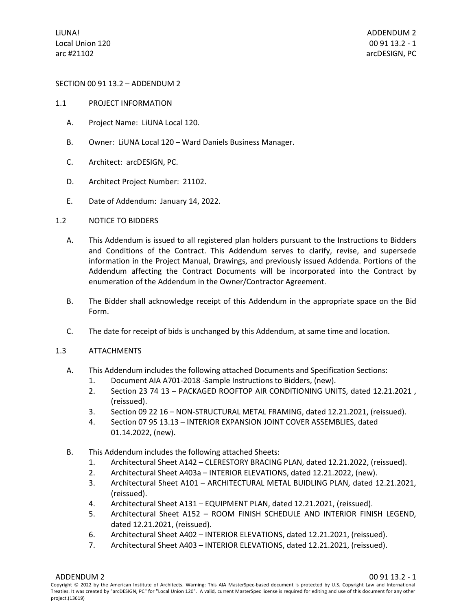## SECTION 00 91 13.2 – ADDENDUM 2

- 1.1 PROJECT INFORMATION
	- A. Project Name: LiUNA Local 120.
	- B. Owner: LiUNA Local 120 Ward Daniels Business Manager.
	- C. Architect: arcDESIGN, PC.
	- D. Architect Project Number: 21102.
	- E. Date of Addendum: January 14, 2022.
- 1.2 NOTICE TO BIDDERS
	- A. This Addendum is issued to all registered plan holders pursuant to the Instructions to Bidders and Conditions of the Contract. This Addendum serves to clarify, revise, and supersede information in the Project Manual, Drawings, and previously issued Addenda. Portions of the Addendum affecting the Contract Documents will be incorporated into the Contract by enumeration of the Addendum in the Owner/Contractor Agreement.
	- B. The Bidder shall acknowledge receipt of this Addendum in the appropriate space on the Bid Form.
	- C. The date for receipt of bids is unchanged by this Addendum, at same time and location.

## 1.3 ATTACHMENTS

- A. This Addendum includes the following attached Documents and Specification Sections:
	- 1. Document AIA A701-2018 -Sample Instructions to Bidders, (new).
	- 2. Section 23 74 13 PACKAGED ROOFTOP AIR CONDITIONING UNITS, dated 12.21.2021 , (reissued).
	- 3. Section 09 22 16 NON-STRUCTURAL METAL FRAMING, dated 12.21.2021, (reissued).
	- 4. Section 07 95 13.13 INTERIOR EXPANSION JOINT COVER ASSEMBLIES, dated 01.14.2022, (new).
- B. This Addendum includes the following attached Sheets:
	- 1. Architectural Sheet A142 CLERESTORY BRACING PLAN, dated 12.21.2022, (reissued).
	- 2. Architectural Sheet A403a INTERIOR ELEVATIONS, dated 12.21.2022, (new).
	- 3. Architectural Sheet A101 ARCHITECTURAL METAL BUIDLING PLAN, dated 12.21.2021, (reissued).
	- 4. Architectural Sheet A131 EQUIPMENT PLAN, dated 12.21.2021, (reissued).
	- 5. Architectural Sheet A152 ROOM FINISH SCHEDULE AND INTERIOR FINISH LEGEND, dated 12.21.2021, (reissued).
	- 6. Architectural Sheet A402 INTERIOR ELEVATIONS, dated 12.21.2021, (reissued).
	- 7. Architectural Sheet A403 INTERIOR ELEVATIONS, dated 12.21.2021, (reissued).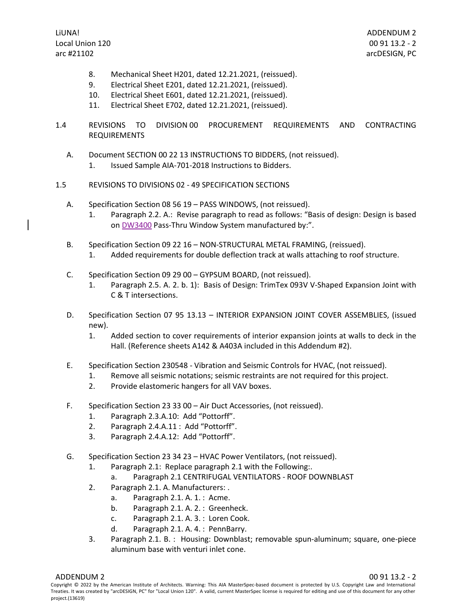ADDENDUM 2 00 91 13.2 - 2 arcDESIGN, PC

- 8. Mechanical Sheet H201, dated 12.21.2021, (reissued).
- 9. Electrical Sheet E201, dated 12.21.2021, (reissued).
- 10. Electrical Sheet E601, dated 12.21.2021, (reissued).
- 11. Electrical Sheet E702, dated 12.21.2021, (reissued).
- 1.4 REVISIONS TO DIVISION 00 PROCUREMENT REQUIREMENTS AND CONTRACTING REQUIREMENTS
	- A. Document SECTION 00 22 13 INSTRUCTIONS TO BIDDERS, (not reissued). 1. Issued Sample AIA-701-2018 Instructions to Bidders.
- 1.5 REVISIONS TO DIVISIONS 02 49 SPECIFICATION SECTIONS
	- A. Specification Section 08 56 19 PASS WINDOWS, (not reissued).
		- 1. Paragraph 2.2. A.: Revise paragraph to read as follows: "Basis of design: Design is based on DW3400 Pass-Thru Window System manufactured by:".
	- B. Specification Section 09 22 16 NON-STRUCTURAL METAL FRAMING, (reissued).
		- 1. Added requirements for double deflection track at walls attaching to roof structure.
	- C. Specification Section 09 29 00 GYPSUM BOARD, (not reissued).
		- 1. Paragraph 2.5. A. 2. b. 1): Basis of Design: TrimTex 093V V-Shaped Expansion Joint with C & T intersections.
	- D. Specification Section 07 95 13.13 INTERIOR EXPANSION JOINT COVER ASSEMBLIES, (issued new).
		- 1. Added section to cover requirements of interior expansion joints at walls to deck in the Hall. (Reference sheets A142 & A403A included in this Addendum #2).
	- E. Specification Section 230548 Vibration and Seismic Controls for HVAC, (not reissued).
		- 1. Remove all seismic notations; seismic restraints are not required for this project.
		- 2. Provide elastomeric hangers for all VAV boxes.
	- F. Specification Section 23 33 00 Air Duct Accessories, (not reissued).
		- 1. Paragraph 2.3.A.10: Add "Pottorff".
		- 2. Paragraph 2.4.A.11 : Add "Pottorff".
		- 3. Paragraph 2.4.A.12: Add "Pottorff".
	- G. Specification Section 23 34 23 HVAC Power Ventilators, (not reissued).
		- 1. Paragraph 2.1: Replace paragraph 2.1 with the Following:.
			- a. Paragraph 2.1 CENTRIFUGAL VENTILATORS ROOF DOWNBLAST
		- 2. Paragraph 2.1. A. Manufacturers: .
			- a. Paragraph 2.1. A. 1. : Acme.
			- b. Paragraph 2.1. A. 2. : Greenheck.
			- c. Paragraph 2.1. A. 3. : Loren Cook.
			- d. Paragraph 2.1. A. 4. : PennBarry.
		- 3. Paragraph 2.1. B. : Housing: Downblast; removable spun-aluminum; square, one-piece aluminum base with venturi inlet cone.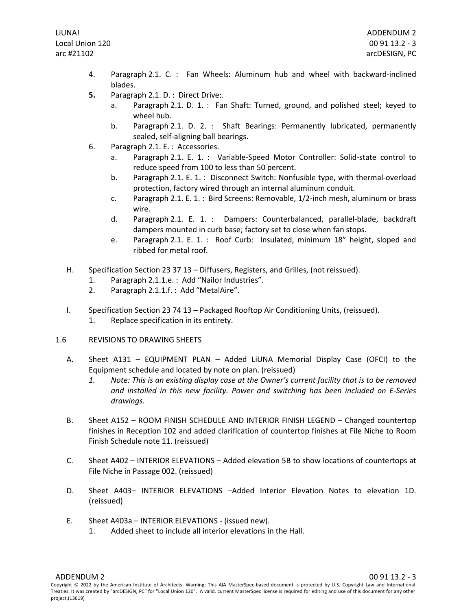- 4. Paragraph 2.1. C. : Fan Wheels: Aluminum hub and wheel with backward-inclined blades.
- **5.** Paragraph 2.1. D. : Direct Drive:.
	- Paragraph 2.1. D. 1. : Fan Shaft: Turned, ground, and polished steel; keyed to wheel hub.
	- b. Paragraph 2.1. D. 2. : Shaft Bearings: Permanently lubricated, permanently sealed, self-aligning ball bearings.
- 6. Paragraph 2.1. E. : Accessories.
	- a. Paragraph 2.1. E. 1. : Variable-Speed Motor Controller: Solid-state control to reduce speed from 100 to less than 50 percent.
	- b. Paragraph 2.1. E. 1. : Disconnect Switch: Nonfusible type, with thermal-overload protection, factory wired through an internal aluminum conduit.
	- c. Paragraph 2.1. E. 1. : Bird Screens: Removable, 1/2-inch mesh, aluminum or brass wire.
	- d. Paragraph 2.1. E. 1. : Dampers: Counterbalanced, parallel-blade, backdraft dampers mounted in curb base; factory set to close when fan stops.
	- e. Paragraph 2.1. E. 1. : Roof Curb: Insulated, minimum 18" height, sloped and ribbed for metal roof.
- H. Specification Section 23 37 13 Diffusers, Registers, and Grilles, (not reissued).
	- 1. Paragraph 2.1.1.e. : Add "Nailor Industries".
	- 2. Paragraph 2.1.1.f. : Add "MetalAire".
- I. Specification Section 23 74 13 Packaged Rooftop Air Conditioning Units, (reissued).
	- 1. Replace specification in its entirety.
- 1.6 REVISIONS TO DRAWING SHEETS
	- A. Sheet A131 EQUIPMENT PLAN Added LiUNA Memorial Display Case (OFCI) to the Equipment schedule and located by note on plan. (reissued)
		- *1. Note: This is an existing display case at the Owner's current facility that is to be removed and installed in this new facility. Power and switching has been included on E-Series drawings.*
	- B. Sheet A152 ROOM FINISH SCHEDULE AND INTERIOR FINISH LEGEND Changed countertop finishes in Reception 102 and added clarification of countertop finishes at File Niche to Room Finish Schedule note 11. (reissued)
	- C. Sheet A402 INTERIOR ELEVATIONS Added elevation 5B to show locations of countertops at File Niche in Passage 002. (reissued)
	- D. Sheet A403– INTERIOR ELEVATIONS –Added Interior Elevation Notes to elevation 1D. (reissued)
	- E. Sheet A403a INTERIOR ELEVATIONS (issued new).
		- 1. Added sheet to include all interior elevations in the Hall.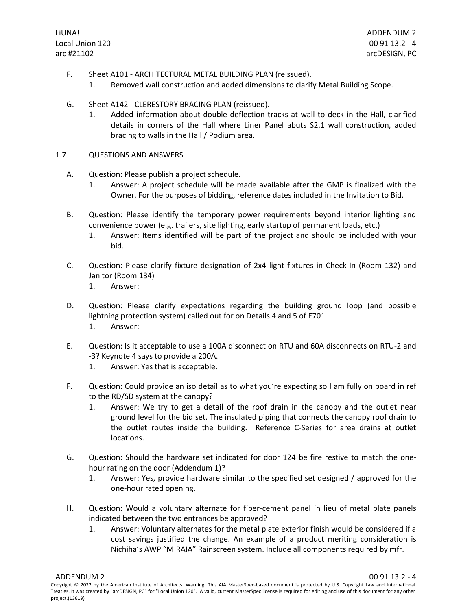- F. Sheet A101 ARCHITECTURAL METAL BUILDING PLAN (reissued).
	- 1. Removed wall construction and added dimensions to clarify Metal Building Scope.
- G. Sheet A142 CLERESTORY BRACING PLAN (reissued).
	- 1. Added information about double deflection tracks at wall to deck in the Hall, clarified details in corners of the Hall where Liner Panel abuts S2.1 wall construction, added bracing to walls in the Hall / Podium area.
- 1.7 QUESTIONS AND ANSWERS
	- A. Question: Please publish a project schedule.
		- 1. Answer: A project schedule will be made available after the GMP is finalized with the Owner. For the purposes of bidding, reference dates included in the Invitation to Bid.
	- B. Question: Please identify the temporary power requirements beyond interior lighting and convenience power (e.g. trailers, site lighting, early startup of permanent loads, etc.)
		- 1. Answer: Items identified will be part of the project and should be included with your bid.
	- C. Question: Please clarify fixture designation of 2x4 light fixtures in Check-In (Room 132) and Janitor (Room 134)
		- 1. Answer:
	- D. Question: Please clarify expectations regarding the building ground loop (and possible lightning protection system) called out for on Details 4 and 5 of E701 1. Answer:
	- E. Question: Is it acceptable to use a 100A disconnect on RTU and 60A disconnects on RTU-2 and -3? Keynote 4 says to provide a 200A.
		- 1. Answer: Yes that is acceptable.
	- F. Question: Could provide an iso detail as to what you're expecting so I am fully on board in ref to the RD/SD system at the canopy?
		- 1. Answer: We try to get a detail of the roof drain in the canopy and the outlet near ground level for the bid set. The insulated piping that connects the canopy roof drain to the outlet routes inside the building. Reference C-Series for area drains at outlet locations.
	- G. Question: Should the hardware set indicated for door 124 be fire restive to match the onehour rating on the door (Addendum 1)?
		- 1. Answer: Yes, provide hardware similar to the specified set designed / approved for the one-hour rated opening.
	- H. Question: Would a voluntary alternate for fiber-cement panel in lieu of metal plate panels indicated between the two entrances be approved?
		- 1. Answer: Voluntary alternates for the metal plate exterior finish would be considered if a cost savings justified the change. An example of a product meriting consideration is Nichiha's AWP "MIRAIA" Rainscreen system. Include all components required by mfr.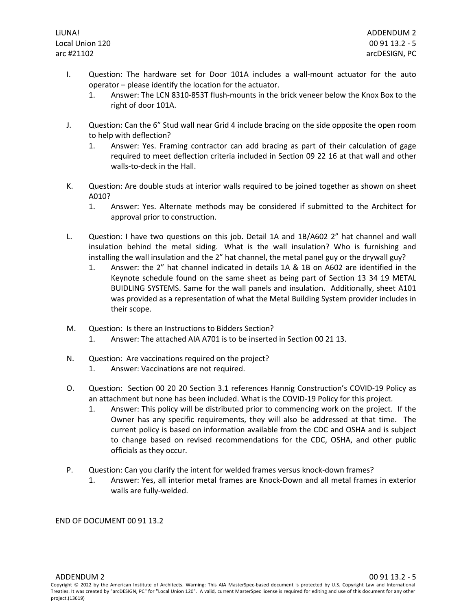- I. Question: The hardware set for Door 101A includes a wall-mount actuator for the auto operator – please identify the location for the actuator.
	- 1. Answer: The LCN 8310-853T flush-mounts in the brick veneer below the Knox Box to the right of door 101A.
- J. Question: Can the 6" Stud wall near Grid 4 include bracing on the side opposite the open room to help with deflection?
	- 1. Answer: Yes. Framing contractor can add bracing as part of their calculation of gage required to meet deflection criteria included in Section 09 22 16 at that wall and other walls-to-deck in the Hall.
- K. Question: Are double studs at interior walls required to be joined together as shown on sheet A010?
	- 1. Answer: Yes. Alternate methods may be considered if submitted to the Architect for approval prior to construction.
- L. Question: I have two questions on this job. Detail 1A and 1B/A602 2" hat channel and wall insulation behind the metal siding. What is the wall insulation? Who is furnishing and installing the wall insulation and the 2" hat channel, the metal panel guy or the drywall guy?
	- 1. Answer: the 2" hat channel indicated in details 1A & 1B on A602 are identified in the Keynote schedule found on the same sheet as being part of Section 13 34 19 METAL BUIDLING SYSTEMS. Same for the wall panels and insulation. Additionally, sheet A101 was provided as a representation of what the Metal Building System provider includes in their scope.
- M. Question: Is there an Instructions to Bidders Section? 1. Answer: The attached AIA A701 is to be inserted in Section 00 21 13.
- N. Question: Are vaccinations required on the project?
	- 1. Answer: Vaccinations are not required.
- O. Question: Section 00 20 20 Section 3.1 references Hannig Construction's COVID-19 Policy as an attachment but none has been included. What is the COVID-19 Policy for this project.
	- 1. Answer: This policy will be distributed prior to commencing work on the project. If the Owner has any specific requirements, they will also be addressed at that time. The current policy is based on information available from the CDC and OSHA and is subject to change based on revised recommendations for the CDC, OSHA, and other public officials as they occur.
- P. Question: Can you clarify the intent for welded frames versus knock-down frames?
	- 1. Answer: Yes, all interior metal frames are Knock-Down and all metal frames in exterior walls are fully-welded.

END OF DOCUMENT 00 91 13.2